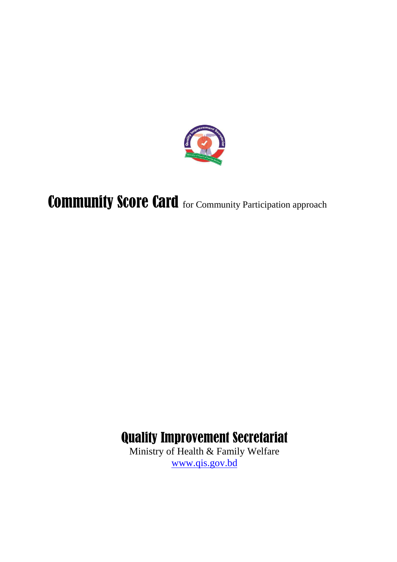

Community Score Card for Community Participation approach

# Quality Improvement Secretariat

Ministry of Health & Family Welfare [www.qis.gov.bd](http://www.qis.gov.bd/)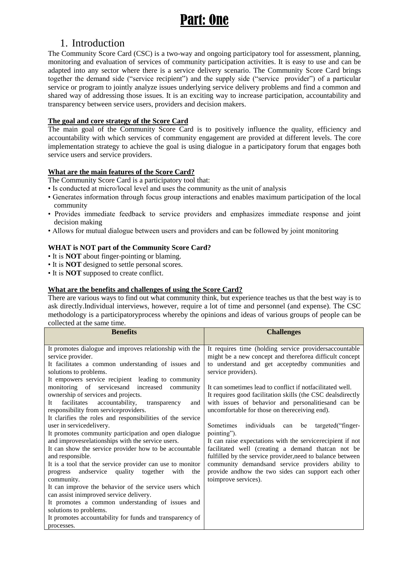# 1. Introduction

The Community Score Card (CSC) is a two-way and ongoing participatory tool for assessment, planning, monitoring and evaluation of services of community participation activities. It is easy to use and can be adapted into any sector where there is a service delivery scenario. The Community Score Card brings together the demand side ("service recipient") and the supply side ("service provider") of a particular service or program to jointly analyze issues underlying service delivery problems and find a common and shared way of addressing those issues. It is an exciting way to increase participation, accountability and transparency between service users, providers and decision makers.

## **The goal and core strategy of the Score Card**

The main goal of the Community Score Card is to positively influence the quality, efficiency and accountability with which services of community engagement are provided at different levels. The core implementation strategy to achieve the goal is using dialogue in a participatory forum that engages both service users and service providers.

## **What are the main features of the Score Card?**

The Community Score Card is a participatory tool that:

- Is conducted at micro/local level and uses the community as the unit of analysis
- Generates information through focus group interactions and enables maximum participation of the local community
- Provides immediate feedback to service providers and emphasizes immediate response and joint decision making
- Allows for mutual dialogue between users and providers and can be followed by joint monitoring

## **WHAT is NOT part of the Community Score Card?**

- It is **NOT** about finger-pointing or blaming.
- It is **NOT** designed to settle personal scores.
- It is **NOT** supposed to create conflict.

## **What are the benefits and challenges of using the Score Card?**

There are various ways to find out what community think, but experience teaches us that the best way is to ask directly.Individual interviews, however, require a lot of time and personnel (and expense). The CSC methodology is a participatoryprocess whereby the opinions and ideas of various groups of people can be collected at the same time.

| <b>Benefits</b>                                             | <b>Challenges</b>                                            |  |  |  |
|-------------------------------------------------------------|--------------------------------------------------------------|--|--|--|
|                                                             |                                                              |  |  |  |
| It promotes dialogue and improves relationship with the     | It requires time (holding service providersaccountable       |  |  |  |
| service provider.                                           | might be a new concept and thereforea difficult concept      |  |  |  |
| It facilitates a common understanding of issues and         | to understand and get acceptedby communities and             |  |  |  |
| solutions to problems.                                      | service providers).                                          |  |  |  |
| It empowers service recipient leading to community          |                                                              |  |  |  |
| monitoring of services and increased<br>community           | It can sometimes lead to conflict if not facilitated well.   |  |  |  |
| ownership of services and projects.                         | It requires good facilitation skills (the CSC deals directly |  |  |  |
| facilitates<br>accountability,<br>It<br>transparency<br>and | with issues of behavior and personalities and can be         |  |  |  |
| responsibility from serviceproviders.                       | uncomfortable for those on thereceiving end).                |  |  |  |
| It clarifies the roles and responsibilities of the service  |                                                              |  |  |  |
| user in servicedelivery.                                    | Sometimes individuals can be<br>targeted ("finger-           |  |  |  |
| It promotes community participation and open dialogue       | pointing").                                                  |  |  |  |
| and improves<br>relationships with the service users.       | It can raise expectations with the servicerecipient if not   |  |  |  |
| It can show the service provider how to be accountable      | facilitated well (creating a demand thatcan not be           |  |  |  |
| and responsible.                                            | fulfilled by the service provider, need to balance between   |  |  |  |
| It is a tool that the service provider can use to monitor   | community demandsand service providers ability to            |  |  |  |
| progress and service quality together with<br>the           | provide andhow the two sides can support each other          |  |  |  |
| community.                                                  | toimprove services).                                         |  |  |  |
| It can improve the behavior of the service users which      |                                                              |  |  |  |
| can assist inimproved service delivery.                     |                                                              |  |  |  |
| It promotes a common understanding of issues and            |                                                              |  |  |  |
| solutions to problems.                                      |                                                              |  |  |  |
| It promotes accountability for funds and transparency of    |                                                              |  |  |  |
| processes.                                                  |                                                              |  |  |  |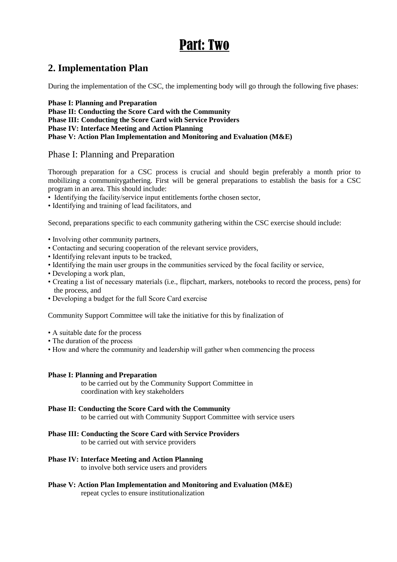# Part: Two

# **2. Implementation Plan**

During the implementation of the CSC, the implementing body will go through the following five phases:

**Phase I: Planning and Preparation**

**Phase II: Conducting the Score Card with the Community Phase III: Conducting the Score Card with Service Providers Phase IV: Interface Meeting and Action Planning Phase V: Action Plan Implementation and Monitoring and Evaluation (M&E)**

# Phase I: Planning and Preparation

Thorough preparation for a CSC process is crucial and should begin preferably a month prior to mobilizing a communitygathering. First will be general preparations to establish the basis for a CSC program in an area. This should include:

- Identifying the facility/service input entitlements forthe chosen sector,
- Identifying and training of lead facilitators, and

Second, preparations specific to each community gathering within the CSC exercise should include:

- Involving other community partners,
- Contacting and securing cooperation of the relevant service providers,
- Identifying relevant inputs to be tracked,
- Identifying the main user groups in the communities serviced by the focal facility or service,
- Developing a work plan,
- Creating a list of necessary materials (i.e., flipchart, markers, notebooks to record the process, pens) for the process, and
- Developing a budget for the full Score Card exercise

Community Support Committee will take the initiative for this by finalization of

- A suitable date for the process
- The duration of the process
- How and where the community and leadership will gather when commencing the process

#### **Phase I: Planning and Preparation**

to be carried out by the Community Support Committee in coordination with key stakeholders

#### **Phase II: Conducting the Score Card with the Community**

to be carried out with Community Support Committee with service users

## **Phase III: Conducting the Score Card with Service Providers**

to be carried out with service providers

## **Phase IV: Interface Meeting and Action Planning**

to involve both service users and providers

**Phase V: Action Plan Implementation and Monitoring and Evaluation (M&E)** repeat cycles to ensure institutionalization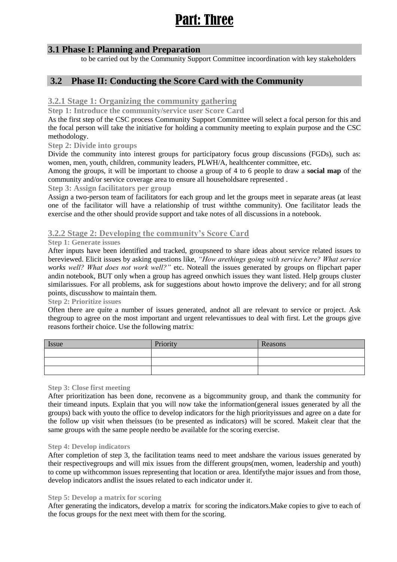# Part: Three

## **3.1 Phase I: Planning and Preparation**

to be carried out by the Community Support Committee incoordination with key stakeholders

# **3.2 Phase II: Conducting the Score Card with the Community**

## **3.2.1 Stage 1: Organizing the community gathering**

**Step 1: Introduce the community/service user Score Card**

As the first step of the CSC process Community Support Committee will select a focal person for this and the focal person will take the initiative for holding a community meeting to explain purpose and the CSC methodology.

#### **Step 2: Divide into groups**

Divide the community into interest groups for participatory focus group discussions (FGDs), such as: women, men, youth, children, community leaders, PLWH/A, healthcenter committee, etc.

Among the groups, it will be important to choose a group of 4 to 6 people to draw a **social map** of the community and/or service coverage area to ensure all householdsare represented .

#### **Step 3: Assign facilitators per group**

Assign a two-person team of facilitators for each group and let the groups meet in separate areas (at least one of the facilitator will have a relationship of trust withthe community). One facilitator leads the exercise and the other should provide support and take notes of all discussions in a notebook.

## **3.2.2 Stage 2: Developing the community's Score Card**

#### **Step 1: Generate issues**

After inputs have been identified and tracked, groupsneed to share ideas about service related issues to bereviewed. Elicit issues by asking questions like, *"How arethings going with service here? What service works well? What does not work well?"* etc. Noteall the issues generated by groups on flipchart paper andin notebook, BUT only when a group has agreed onwhich issues they want listed. Help groups cluster similarissues. For all problems, ask for suggestions about howto improve the delivery; and for all strong points, discusshow to maintain them.

#### **Step 2: Prioritize issues**

Often there are quite a number of issues generated, andnot all are relevant to service or project. Ask thegroup to agree on the most important and urgent relevantissues to deal with first. Let the groups give reasons fortheir choice. Use the following matrix:

| Issue | Priority | Reasons |
|-------|----------|---------|
|       |          |         |
|       |          |         |
|       |          |         |

## **Step 3: Close first meeting**

After prioritization has been done, reconvene as a bigcommunity group, and thank the community for their timeand inputs. Explain that you will now take the information(general issues generated by all the groups) back with youto the office to develop indicators for the high priorityissues and agree on a date for the follow up visit when theissues (to be presented as indicators) will be scored. Makeit clear that the same groups with the same people needto be available for the scoring exercise.

#### **Step 4: Develop indicators**

After completion of step 3, the facilitation teams need to meet andshare the various issues generated by their respectivegroups and will mix issues from the different groups(men, women, leadership and youth) to come up withcommon issues representing that location or area. Identifythe major issues and from those, develop indicators andlist the issues related to each indicator under it.

#### **Step 5: Develop a matrix for scoring**

After generating the indicators, develop a matrix for scoring the indicators.Make copies to give to each of the focus groups for the next meet with them for the scoring.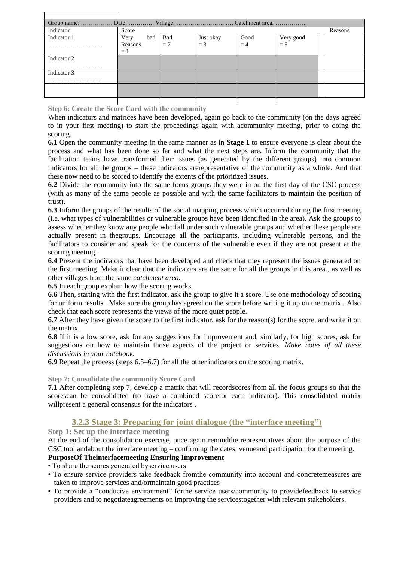| Indicator   | Score   |     |       |           |      |           | Reasons |
|-------------|---------|-----|-------|-----------|------|-----------|---------|
| Indicator 1 | Very    | bad | Bad   | Just okay | Good | Very good |         |
|             | Reasons |     | $= 2$ | $=$ 3     | $=4$ | $= 5$     |         |
|             | $=1$    |     |       |           |      |           |         |
| Indicator 2 |         |     |       |           |      |           |         |
|             |         |     |       |           |      |           |         |
| Indicator 3 |         |     |       |           |      |           |         |
|             |         |     |       |           |      |           |         |
|             |         |     |       |           |      |           |         |
|             |         |     |       |           |      |           |         |
|             |         |     |       |           |      |           |         |

**Step 6: Create the Score Card with the community**

When indicators and matrices have been developed, again go back to the community (on the days agreed to in your first meeting) to start the proceedings again with acommunity meeting, prior to doing the scoring.

**6.1** Open the community meeting in the same manner as in **Stage 1** to ensure everyone is clear about the process and what has been done so far and what the next steps are. Inform the community that the facilitation teams have transformed their issues (as generated by the different groups) into common indicators for all the groups – these indicators arerepresentative of the community as a whole. And that these now need to be scored to identify the extents of the prioritized issues.

**6.2** Divide the community into the same focus groups they were in on the first day of the CSC process (with as many of the same people as possible and with the same facilitators to maintain the position of trust).

**6.3** Inform the groups of the results of the social mapping process which occurred during the first meeting (i.e. what types of vulnerabilities or vulnerable groups have been identified in the area). Ask the groups to assess whether they know any people who fall under such vulnerable groups and whether these people are actually present in thegroups. Encourage all the participants, including vulnerable persons, and the facilitators to consider and speak for the concerns of the vulnerable even if they are not present at the scoring meeting.

**6.4** Present the indicators that have been developed and check that they represent the issues generated on the first meeting. Make it clear that the indicators are the same for all the groups in this area , as well as other villages from the same *catchment area.*

**6.5** In each group explain how the scoring works.

**6.6** Then, starting with the first indicator, ask the group to give it a score. Use one methodology of scoring for uniform results . Make sure the group has agreed on the score before writing it up on the matrix . Also check that each score represents the views of the more quiet people.

**6.7** After they have given the score to the first indicator, ask for the reason(s) for the score, and write it on the matrix.

**6.8** If it is a low score, ask for any suggestions for improvement and, similarly, for high scores, ask for suggestions on how to maintain those aspects of the project or services. *Make notes of all these discussions in your notebook.*

**6.9** Repeat the process (steps 6.5–6.7) for all the other indicators on the scoring matrix.

## **Step 7: Consolidate the community Score Card**

**7.1** After completing step 7, develop a matrix that will recordscores from all the focus groups so that the scorescan be consolidated (to have a combined scorefor each indicator). This consolidated matrix willpresent a general consensus for the indicators .

# **3.2.3 Stage 3: Preparing for joint dialogue (the "interface meeting")**

**Step 1: Set up the interface meeting**

At the end of the consolidation exercise, once again remindthe representatives about the purpose of the CSC tool andabout the interface meeting – confirming the dates, venueand participation for the meeting.

# **PurposeOf Theinterfacemeeting Ensuring Improvement**

• To share the scores generated byservice users

- To ensure service providers take feedback fromthe community into account and concretemeasures are taken to improve services and/ormaintain good practices
- To provide a "conducive environment" forthe service users/community to providefeedback to service providers and to negotiateagreements on improving the servicestogether with relevant stakeholders.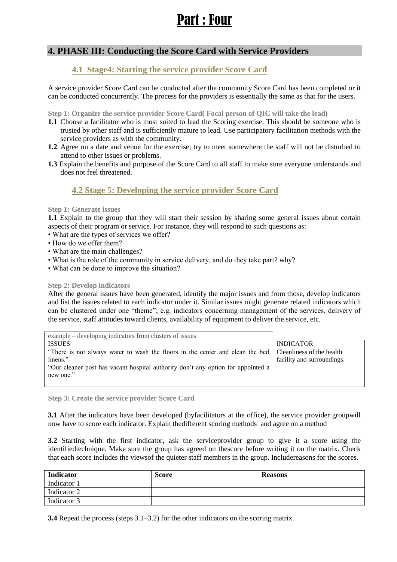# Part : Four

# **4. PHASE III: Conducting the Score Card with Service Providers**

# **4.1 Stage4: Starting the service provider Score Card**

A service provider Score Card can be conducted after the community Score Card has been completed or it can be conducted concurrently. The process for the providers is essentially the same as that for the users.

**Step 1: Organize the service provider Score Card( Focal person of QIC will take the lead)**

- **1.1** Choose a facilitator who is most suited to lead the Scoring exercise. This should be someone who is trusted by other staff and is sufficiently mature to lead. Use participatory facilitation methods with the service providers as with the community.
- **1.2** Agree on a date and venue for the exercise; try to meet somewhere the staff will not be disturbed to attend to other issues or problems.
- **1.3** Explain the benefits and purpose of the Score Card to all staff to make sure everyone understands and does not feel threatened.

# **4.2 Stage 5: Developing the service provider Score Card**

#### **Step 1: Generate issues**

**1.1** Explain to the group that they will start their session by sharing some general issues about certain aspects of their program or service. For instance, they will respond to such questions as:

- What are the types of services we offer?
- How do we offer them?
- What are the main challenges?
- What is the role of the community in service delivery, and do they take part? why?
- What can be done to improve the situation?

#### **Step 2: Develop indicators**

After the general issues have been generated, identify the major issues and from those, develop indicators and list the issues related to each indicator under it. Similar issues might generate related indicators which can be clustered under one "theme"; e.g. indicators concerning management of the services, delivery of the service, staff attitudes toward clients, availability of equipment to deliver the service, etc.

| example – developing indicators from clusters of issues                                                   |                            |
|-----------------------------------------------------------------------------------------------------------|----------------------------|
| <b>ISSUES</b>                                                                                             | <b>INDICATOR</b>           |
| "There is not always water to wash the floors in the center and clean the bed   Cleanliness of the health |                            |
| linens."                                                                                                  | facility and surroundings. |
| "Our cleaner post has vacant hospital authority don't any option for appointed a                          |                            |
| new one."                                                                                                 |                            |
|                                                                                                           |                            |

**Step 3: Create the service provider Score Card**

**3.1** After the indicators have been developed (byfacilitators at the office), the service provider groupwill now have to score each indicator. Explain thedifferent scoring methods and agree on a method

**3.2** Starting with the first indicator, ask the serviceprovider group to give it a score using the identifiedtechnique. Make sure the group has agreed on thescore before writing it on the matrix. Check that each score includes the viewsof the quieter staff members in the group. Includereasons for the scores.

| Indicator   | <b>Score</b> | <b>Reasons</b> |
|-------------|--------------|----------------|
| Indicator 1 |              |                |
| Indicator 2 |              |                |
| Indicator 3 |              |                |

**3.4** Repeat the process (steps 3.1–3.2) for the other indicators on the scoring matrix.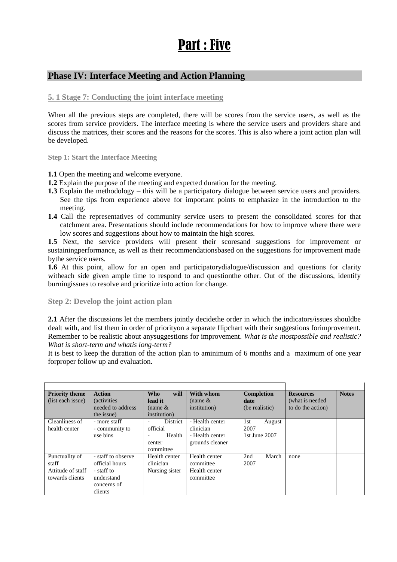# Part : Five

# **Phase IV: Interface Meeting and Action Planning**

## **5. 1 Stage 7: Conducting the joint interface meeting**

When all the previous steps are completed, there will be scores from the service users, as well as the scores from service providers. The interface meeting is where the service users and providers share and discuss the matrices, their scores and the reasons for the scores. This is also where a joint action plan will be developed.

**Step 1: Start the Interface Meeting**

- **1.1** Open the meeting and welcome everyone.
- **1.2** Explain the purpose of the meeting and expected duration for the meeting.
- **1.3** Explain the methodology this will be a participatory dialogue between service users and providers. See the tips from experience above for important points to emphasize in the introduction to the meeting.
- **1.4** Call the representatives of community service users to present the consolidated scores for that catchment area. Presentations should include recommendations for how to improve where there were low scores and suggestions about how to maintain the high scores.

**1.5** Next, the service providers will present their scoresand suggestions for improvement or sustainingperformance, as well as their recommendationsbased on the suggestions for improvement made bythe service users.

**1.6** At this point, allow for an open and participatorydialogue/discussion and questions for clarity witheach side given ample time to respond to and questionthe other. Out of the discussions, identify burningissues to resolve and prioritize into action for change.

**Step 2: Develop the joint action plan**

**2.1** After the discussions let the members jointly decidethe order in which the indicators/issues shouldbe dealt with, and list them in order of priorityon a separate flipchart with their suggestions forimprovement. Remember to be realistic about anysuggestions for improvement. *What is the mostpossible and realistic? What is short-term and whatis long-term?*

It is best to keep the duration of the action plan to aminimum of 6 months and a maximum of one year forproper follow up and evaluation.

| <b>Priority theme</b> | <b>Action</b>       | will<br><b>Who</b> | With whom       | Completion     | <b>Resources</b>  | <b>Notes</b> |
|-----------------------|---------------------|--------------------|-----------------|----------------|-------------------|--------------|
| (list each issue)     | <i>(activities)</i> | lead it            | (name $&$       | date           | (what is needed)  |              |
|                       | needed to address   | (name $\&$         | institution)    | (be realistic) | to do the action) |              |
|                       | the issue)          | institution)       |                 |                |                   |              |
| Cleanliness of        | - more staff        | <b>District</b>    | - Health center | 1st<br>August  |                   |              |
| health center         | - community to      | official           | clinician       | 2007           |                   |              |
|                       | use bins            | Health             | - Health center | 1st June 2007  |                   |              |
|                       |                     | center             | grounds cleaner |                |                   |              |
|                       |                     | committee          |                 |                |                   |              |
| Punctuality of        | - staff to observe  | Health center      | Health center   | 2nd<br>March   | none              |              |
| staff                 | official hours      | clinician          | committee       | 2007           |                   |              |
| Attitude of staff     | - staff to          | Nursing sister     | Health center   |                |                   |              |
| towards clients       | understand          |                    | committee       |                |                   |              |
|                       | concerns of         |                    |                 |                |                   |              |
|                       | clients             |                    |                 |                |                   |              |